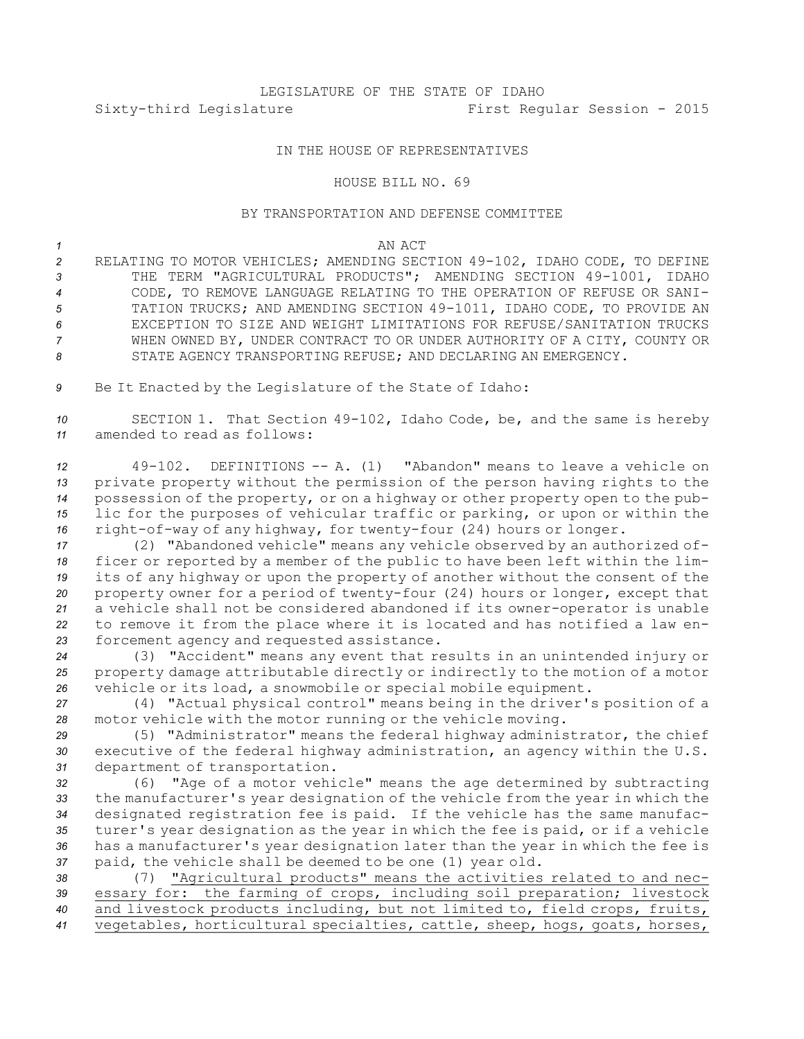# LEGISLATURE OF THE STATE OF IDAHO Sixty-third Legislature First Regular Session - 2015

## IN THE HOUSE OF REPRESENTATIVES

### HOUSE BILL NO. 69

## BY TRANSPORTATION AND DEFENSE COMMITTEE

#### *1* AN ACT

 RELATING TO MOTOR VEHICLES; AMENDING SECTION 49-102, IDAHO CODE, TO DEFINE THE TERM "AGRICULTURAL PRODUCTS"; AMENDING SECTION 49-1001, IDAHO CODE, TO REMOVE LANGUAGE RELATING TO THE OPERATION OF REFUSE OR SANI- TATION TRUCKS; AND AMENDING SECTION 49-1011, IDAHO CODE, TO PROVIDE AN EXCEPTION TO SIZE AND WEIGHT LIMITATIONS FOR REFUSE/SANITATION TRUCKS WHEN OWNED BY, UNDER CONTRACT TO OR UNDER AUTHORITY OF A CITY, COUNTY OR 8 STATE AGENCY TRANSPORTING REFUSE; AND DECLARING AN EMERGENCY.

*<sup>9</sup>* Be It Enacted by the Legislature of the State of Idaho:

*<sup>10</sup>* SECTION 1. That Section 49-102, Idaho Code, be, and the same is hereby *11* amended to read as follows:

 49-102. DEFINITIONS -- A. (1) "Abandon" means to leave <sup>a</sup> vehicle on private property without the permission of the person having rights to the possession of the property, or on <sup>a</sup> highway or other property open to the pub- lic for the purposes of vehicular traffic or parking, or upon or within the right-of-way of any highway, for twenty-four (24) hours or longer.

 (2) "Abandoned vehicle" means any vehicle observed by an authorized of- ficer or reported by <sup>a</sup> member of the public to have been left within the lim- its of any highway or upon the property of another without the consent of the property owner for <sup>a</sup> period of twenty-four (24) hours or longer, except that <sup>a</sup> vehicle shall not be considered abandoned if its owner-operator is unable to remove it from the place where it is located and has notified <sup>a</sup> law en-forcement agency and requested assistance.

*<sup>24</sup>* (3) "Accident" means any event that results in an unintended injury or *<sup>25</sup>* property damage attributable directly or indirectly to the motion of <sup>a</sup> motor *<sup>26</sup>* vehicle or its load, <sup>a</sup> snowmobile or special mobile equipment.

*<sup>27</sup>* (4) "Actual physical control" means being in the driver's position of <sup>a</sup> *<sup>28</sup>* motor vehicle with the motor running or the vehicle moving.

*<sup>29</sup>* (5) "Administrator" means the federal highway administrator, the chief *<sup>30</sup>* executive of the federal highway administration, an agency within the U.S. *<sup>31</sup>* department of transportation.

 (6) "Age of <sup>a</sup> motor vehicle" means the age determined by subtracting the manufacturer's year designation of the vehicle from the year in which the designated registration fee is paid. If the vehicle has the same manufac- turer's year designation as the year in which the fee is paid, or if <sup>a</sup> vehicle has <sup>a</sup> manufacturer's year designation later than the year in which the fee is paid, the vehicle shall be deemed to be one (1) year old.

 (7) "Agricultural products" means the activities related to and nec- essary for: the farming of crops, including soil preparation; livestock and livestock products including, but not limited to, field crops, fruits, vegetables, horticultural specialties, cattle, sheep, hogs, goats, horses,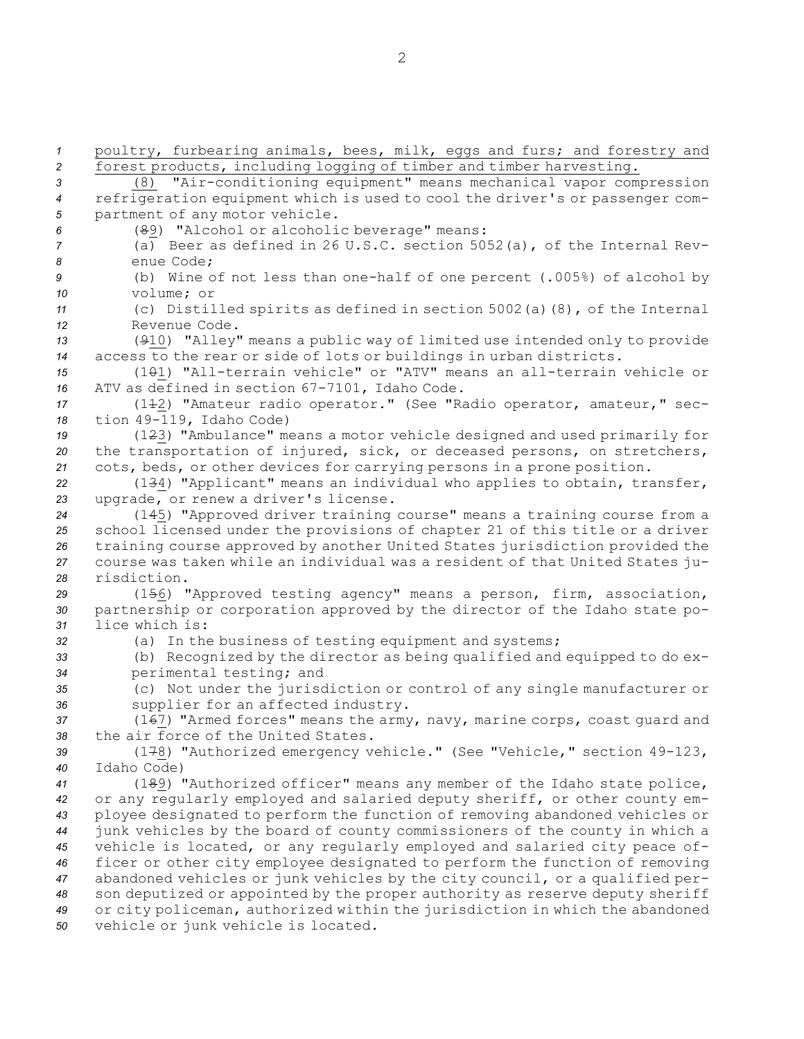poultry, furbearing animals, bees, milk, eggs and furs; and forestry and forest products, including logging of timber and timber harvesting. (8) "Air-conditioning equipment" means mechanical vapor compression refrigeration equipment which is used to cool the driver's or passenger com- partment of any motor vehicle. (89) "Alcohol or alcoholic beverage" means: (a) Beer as defined in 26 U.S.C. section 5052(a), of the Internal Rev- enue Code; (b) Wine of not less than one-half of one percent (.005%) of alcohol by volume; or (c) Distilled spirits as defined in section 5002(a)(8), of the Internal Revenue Code. (910) "Alley" means <sup>a</sup> public way of limited use intended only to provide access to the rear or side of lots or buildings in urban districts. (101) "All-terrain vehicle" or "ATV" means an all-terrain vehicle or ATV as defined in section 67-7101, Idaho Code. (112) "Amateur radio operator." (See "Radio operator, amateur," sec- tion 49-119, Idaho Code) (123) "Ambulance" means <sup>a</sup> motor vehicle designed and used primarily for the transportation of injured, sick, or deceased persons, on stretchers, cots, beds, or other devices for carrying persons in <sup>a</sup> prone position. (134) "Applicant" means an individual who applies to obtain, transfer, upgrade, or renew <sup>a</sup> driver's license. (145) "Approved driver training course" means <sup>a</sup> training course from <sup>a</sup> school licensed under the provisions of chapter 21 of this title or <sup>a</sup> driver training course approved by another United States jurisdiction provided the course was taken while an individual was <sup>a</sup> resident of that United States ju- risdiction. (156) "Approved testing agency" means <sup>a</sup> person, firm, association, partnership or corporation approved by the director of the Idaho state po- lice which is: (a) In the business of testing equipment and systems; (b) Recognized by the director as being qualified and equipped to do ex- perimental testing; and (c) Not under the jurisdiction or control of any single manufacturer or supplier for an affected industry. (167) "Armed forces" means the army, navy, marine corps, coast guard and the air force of the United States. (178) "Authorized emergency vehicle." (See "Vehicle," section 49-123, Idaho Code) (189) "Authorized officer" means any member of the Idaho state police, or any regularly employed and salaried deputy sheriff, or other county em- ployee designated to perform the function of removing abandoned vehicles or junk vehicles by the board of county commissioners of the county in which <sup>a</sup> vehicle is located, or any regularly employed and salaried city peace of- ficer or other city employee designated to perform the function of removing abandoned vehicles or junk vehicles by the city council, or <sup>a</sup> qualified per- son deputized or appointed by the proper authority as reserve deputy sheriff or city policeman, authorized within the jurisdiction in which the abandoned vehicle or junk vehicle is located.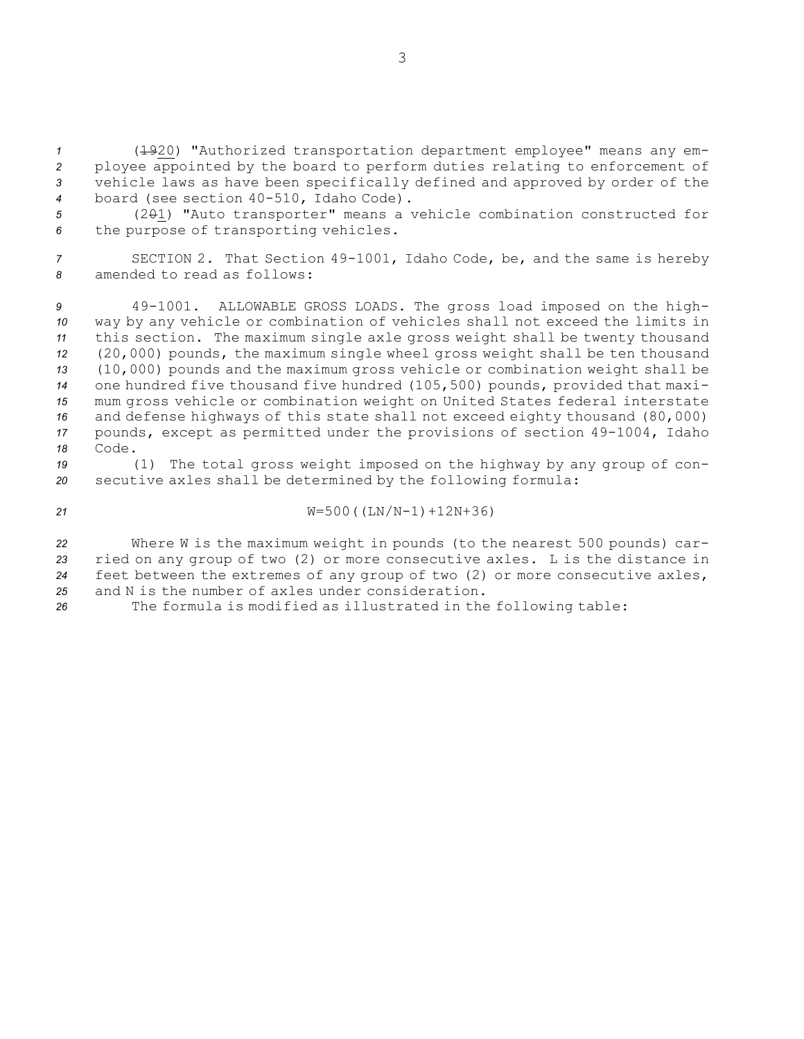(1920) "Authorized transportation department employee" means any em- ployee appointed by the board to perform duties relating to enforcement of vehicle laws as have been specifically defined and approved by order of the board (see section 40-510, Idaho Code).

*<sup>5</sup>* (201) "Auto transporter" means <sup>a</sup> vehicle combination constructed for *<sup>6</sup>* the purpose of transporting vehicles.

*<sup>7</sup>* SECTION 2. That Section 49-1001, Idaho Code, be, and the same is hereby *8* amended to read as follows:

 49-1001. ALLOWABLE GROSS LOADS. The gross load imposed on the high- way by any vehicle or combination of vehicles shall not exceed the limits in this section. The maximum single axle gross weight shall be twenty thousand (20,000) pounds, the maximum single wheel gross weight shall be ten thousand (10,000) pounds and the maximum gross vehicle or combination weight shall be one hundred five thousand five hundred (105,500) pounds, provided that maxi- mum gross vehicle or combination weight on United States federal interstate and defense highways of this state shall not exceed eighty thousand (80,000) pounds, except as permitted under the provisions of section 49-1004, Idaho *18* Code.

*<sup>19</sup>* (1) The total gross weight imposed on the highway by any group of con-*<sup>20</sup>* secutive axles shall be determined by the following formula:

*<sup>21</sup>* W=500((LN/N-1)+12N+36)

 Where <sup>W</sup> is the maximum weight in pounds (to the nearest 500 pounds) car- ried on any group of two (2) or more consecutive axles. <sup>L</sup> is the distance in feet between the extremes of any group of two (2) or more consecutive axles, and N is the number of axles under consideration.

*<sup>26</sup>* The formula is modified as illustrated in the following table: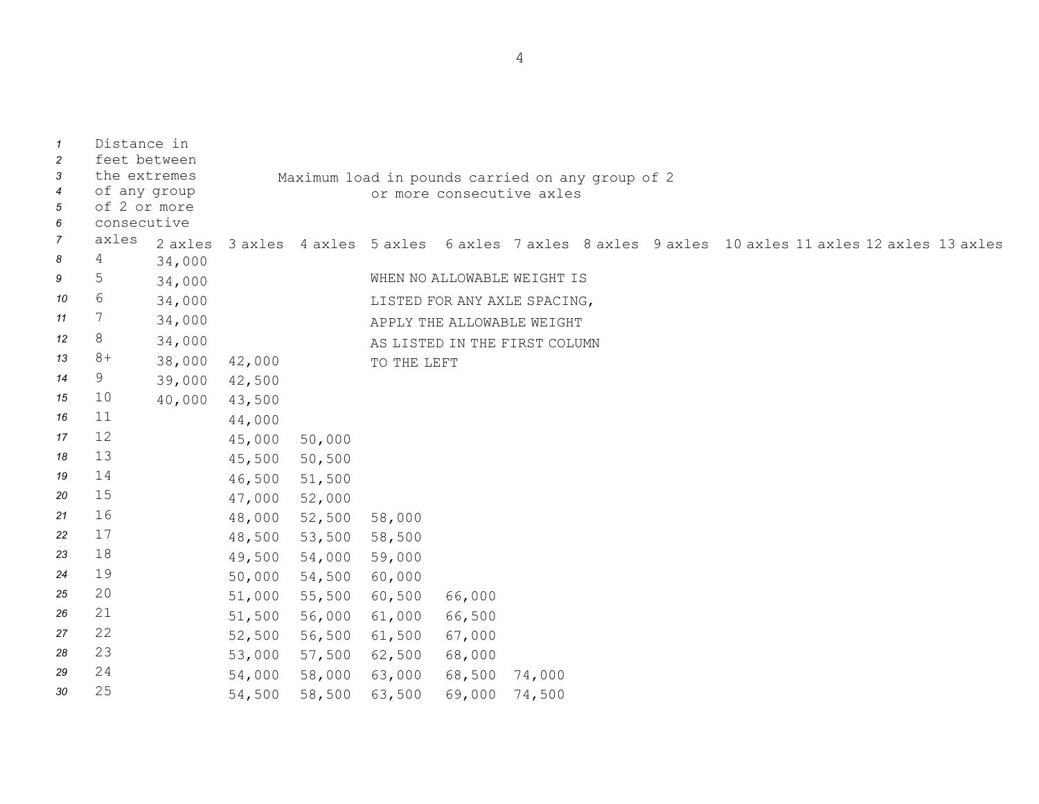| $\mathbf{1}$<br>$\overline{c}$<br>3 | Distance in<br>feet between<br>the extremes |         | Maximum load in pounds carried on any group of 2 |               |                           |        |                                                                                             |  |  |  |  |  |  |
|-------------------------------------|---------------------------------------------|---------|--------------------------------------------------|---------------|---------------------------|--------|---------------------------------------------------------------------------------------------|--|--|--|--|--|--|
| $\overline{4}$<br>5<br>6            | of any group<br>of 2 or more<br>consecutive |         |                                                  |               | or more consecutive axles |        |                                                                                             |  |  |  |  |  |  |
| $\overline{7}$                      | axles                                       | 2 axles |                                                  |               |                           |        | 3 axles 4 axles 5 axles 6 axles 7 axles 8 axles 9 axles 10 axles 11 axles 12 axles 13 axles |  |  |  |  |  |  |
| 8                                   | 4                                           | 34,000  |                                                  |               |                           |        |                                                                                             |  |  |  |  |  |  |
| 9                                   | 5                                           | 34,000  |                                                  |               |                           |        | WHEN NO ALLOWABLE WEIGHT IS                                                                 |  |  |  |  |  |  |
| 10                                  | 6                                           | 34,000  |                                                  |               |                           |        | LISTED FOR ANY AXLE SPACING,                                                                |  |  |  |  |  |  |
| 11                                  | 7                                           | 34,000  |                                                  |               |                           |        | APPLY THE ALLOWABLE WEIGHT                                                                  |  |  |  |  |  |  |
| 12                                  | 8                                           | 34,000  |                                                  |               |                           |        | AS LISTED IN THE FIRST COLUMN                                                               |  |  |  |  |  |  |
| 13                                  | $8+$                                        | 38,000  | 42,000                                           |               | TO THE LEFT               |        |                                                                                             |  |  |  |  |  |  |
| 14                                  | 9                                           | 39,000  | 42,500                                           |               |                           |        |                                                                                             |  |  |  |  |  |  |
| 15                                  | 10                                          | 40,000  | 43,500                                           |               |                           |        |                                                                                             |  |  |  |  |  |  |
| 16                                  | 11                                          |         | 44,000                                           |               |                           |        |                                                                                             |  |  |  |  |  |  |
| 17                                  | 12                                          |         | 45,000                                           | 50,000        |                           |        |                                                                                             |  |  |  |  |  |  |
| 18                                  | 13                                          |         | 45,500                                           | 50,500        |                           |        |                                                                                             |  |  |  |  |  |  |
| 19                                  | 14                                          |         | 46,500                                           | 51,500        |                           |        |                                                                                             |  |  |  |  |  |  |
| 20                                  | 15                                          |         | 47,000 52,000                                    |               |                           |        |                                                                                             |  |  |  |  |  |  |
| 21                                  | 16                                          |         | 48,000                                           | 52,500        | 58,000                    |        |                                                                                             |  |  |  |  |  |  |
| 22                                  | 17                                          |         | 48,500                                           | 53,500 58,500 |                           |        |                                                                                             |  |  |  |  |  |  |
| 23                                  | 18                                          |         | 49,500                                           | 54,000 59,000 |                           |        |                                                                                             |  |  |  |  |  |  |
| 24                                  | 19                                          |         | 50,000                                           | 54,500 60,000 |                           |        |                                                                                             |  |  |  |  |  |  |
| 25                                  | 20                                          |         | 51,000                                           | 55,500 60,500 |                           | 66,000 |                                                                                             |  |  |  |  |  |  |
| 26                                  | 21                                          |         | 51,500                                           | 56,000 61,000 |                           | 66,500 |                                                                                             |  |  |  |  |  |  |
| 27                                  | 22                                          |         | 52,500                                           | 56,500 61,500 |                           | 67,000 |                                                                                             |  |  |  |  |  |  |
| 28                                  | 23                                          |         | 53,000                                           | 57,500        | 62,500                    | 68,000 |                                                                                             |  |  |  |  |  |  |
| 29                                  | 24                                          |         | 54,000                                           | 58,000        | 63,000                    | 68,500 | 74,000                                                                                      |  |  |  |  |  |  |
| 30                                  | 25                                          |         | 54,500                                           | 58,500        | 63,500                    | 69,000 | 74,500                                                                                      |  |  |  |  |  |  |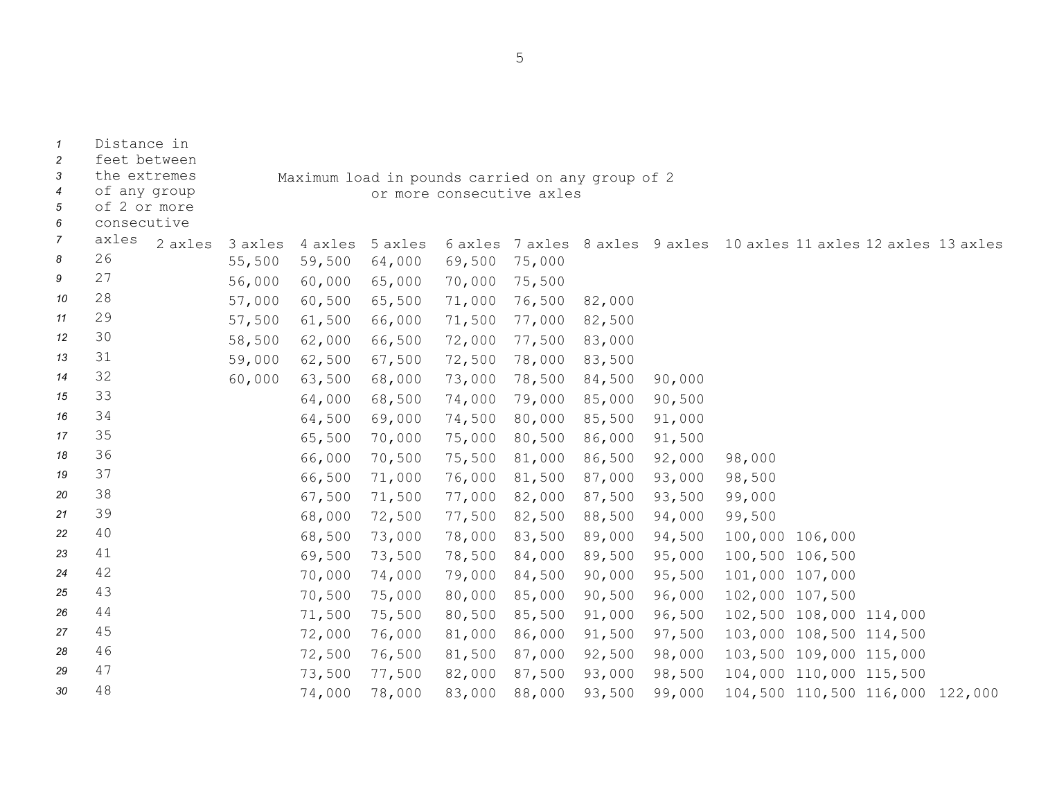| $\mathcal I$<br>$\overline{c}$<br>3       | Distance in<br>feet between<br>the extremes |         |         |                                                                               |         |        |        |        |        |                                                                     |  |                                 |  |
|-------------------------------------------|---------------------------------------------|---------|---------|-------------------------------------------------------------------------------|---------|--------|--------|--------|--------|---------------------------------------------------------------------|--|---------------------------------|--|
| $\boldsymbol{4}$<br>5<br>$\boldsymbol{6}$ | of any group<br>of 2 or more<br>consecutive |         |         | Maximum load in pounds carried on any group of 2<br>or more consecutive axles |         |        |        |        |        |                                                                     |  |                                 |  |
| $\overline{7}$                            | axles                                       | 2 axles | 3 axles | 4 axles                                                                       | 5 axles |        |        |        |        | 6 axles 7 axles 8 axles 9 axles 10 axles 11 axles 12 axles 13 axles |  |                                 |  |
| 8                                         | 26                                          |         | 55,500  | 59,500                                                                        | 64,000  | 69,500 | 75,000 |        |        |                                                                     |  |                                 |  |
| 9                                         | 27                                          |         | 56,000  | 60,000                                                                        | 65,000  | 70,000 | 75,500 |        |        |                                                                     |  |                                 |  |
| 10                                        | 28                                          |         | 57,000  | 60,500                                                                        | 65,500  | 71,000 | 76,500 | 82,000 |        |                                                                     |  |                                 |  |
| 11                                        | 29                                          |         | 57,500  | 61,500                                                                        | 66,000  | 71,500 | 77,000 | 82,500 |        |                                                                     |  |                                 |  |
| 12                                        | 30                                          |         | 58,500  | 62,000                                                                        | 66,500  | 72,000 | 77,500 | 83,000 |        |                                                                     |  |                                 |  |
| 13                                        | 31                                          |         | 59,000  | 62,500                                                                        | 67,500  | 72,500 | 78,000 | 83,500 |        |                                                                     |  |                                 |  |
| 14                                        | 32                                          |         | 60,000  | 63,500                                                                        | 68,000  | 73,000 | 78,500 | 84,500 | 90,000 |                                                                     |  |                                 |  |
| 15                                        | 33                                          |         |         | 64,000                                                                        | 68,500  | 74,000 | 79,000 | 85,000 | 90,500 |                                                                     |  |                                 |  |
| 16                                        | 34                                          |         |         | 64,500                                                                        | 69,000  | 74,500 | 80,000 | 85,500 | 91,000 |                                                                     |  |                                 |  |
| 17                                        | 35                                          |         |         | 65,500                                                                        | 70,000  | 75,000 | 80,500 | 86,000 | 91,500 |                                                                     |  |                                 |  |
| 18                                        | 36                                          |         |         | 66,000                                                                        | 70,500  | 75,500 | 81,000 | 86,500 | 92,000 | 98,000                                                              |  |                                 |  |
| 19                                        | 37                                          |         |         | 66,500                                                                        | 71,000  | 76,000 | 81,500 | 87,000 | 93,000 | 98,500                                                              |  |                                 |  |
| 20                                        | 38                                          |         |         | 67,500                                                                        | 71,500  | 77,000 | 82,000 | 87,500 | 93,500 | 99,000                                                              |  |                                 |  |
| 21                                        | 39                                          |         |         | 68,000                                                                        | 72,500  | 77,500 | 82,500 | 88,500 | 94,000 | 99,500                                                              |  |                                 |  |
| 22                                        | 40                                          |         |         | 68,500                                                                        | 73,000  | 78,000 | 83,500 | 89,000 | 94,500 | 100,000 106,000                                                     |  |                                 |  |
| 23                                        | 41                                          |         |         | 69,500                                                                        | 73,500  | 78,500 | 84,000 | 89,500 | 95,000 | 100,500 106,500                                                     |  |                                 |  |
| 24                                        | 42                                          |         |         | 70,000                                                                        | 74,000  | 79,000 | 84,500 | 90,000 | 95,500 | 101,000 107,000                                                     |  |                                 |  |
| 25                                        | 43                                          |         |         | 70,500                                                                        | 75,000  | 80,000 | 85,000 | 90,500 | 96,000 | 102,000 107,500                                                     |  |                                 |  |
| 26                                        | 44                                          |         |         | 71,500                                                                        | 75,500  | 80,500 | 85,500 | 91,000 | 96,500 | 102,500 108,000 114,000                                             |  |                                 |  |
| 27                                        | 45                                          |         |         | 72,000                                                                        | 76,000  | 81,000 | 86,000 | 91,500 | 97,500 | 103,000 108,500 114,500                                             |  |                                 |  |
| 28                                        | 46                                          |         |         | 72,500                                                                        | 76,500  | 81,500 | 87,000 | 92,500 | 98,000 |                                                                     |  | 103,500 109,000 115,000         |  |
| 29                                        | 47                                          |         |         | 73,500                                                                        | 77,500  | 82,000 | 87,500 | 93,000 | 98,500 |                                                                     |  | 104,000 110,000 115,500         |  |
| 30                                        | 48                                          |         |         | 74,000                                                                        | 78,000  | 83,000 | 88,000 | 93,500 | 99,000 |                                                                     |  | 104,500 110,500 116,000 122,000 |  |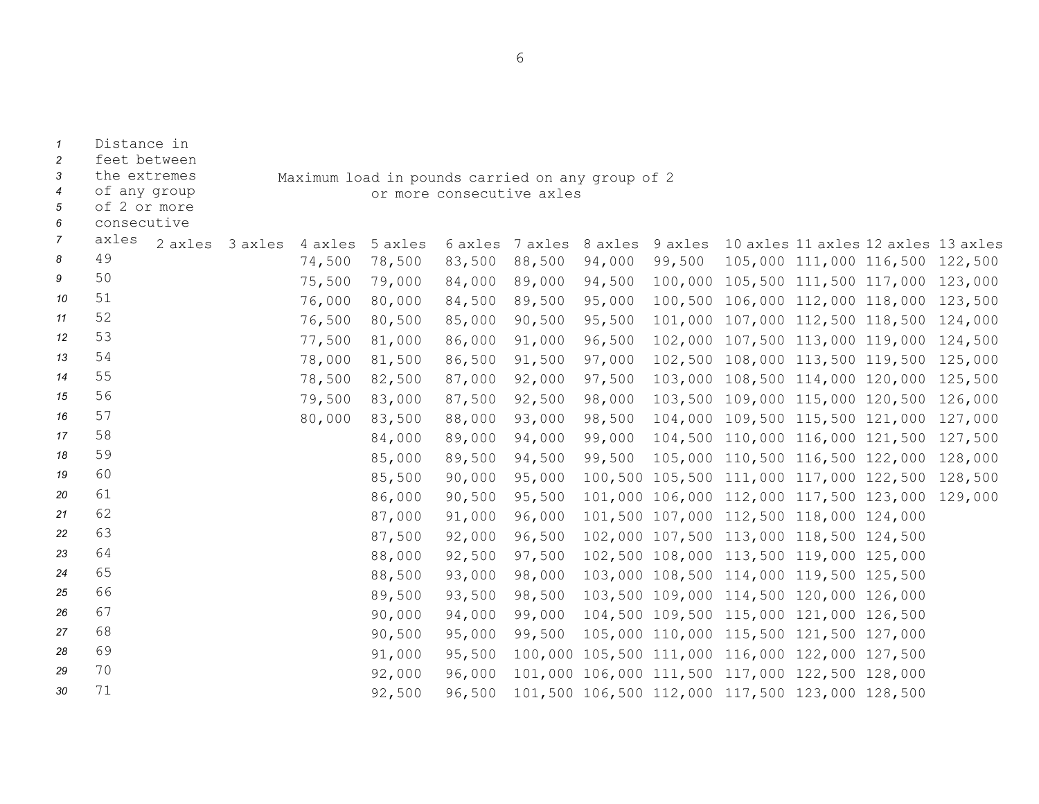| 3                   | the extremes<br>Maximum load in pounds carried on any group of 2 |         |         |         |         |                           |                 |         |        |                                                 |                                 |         |
|---------------------|------------------------------------------------------------------|---------|---------|---------|---------|---------------------------|-----------------|---------|--------|-------------------------------------------------|---------------------------------|---------|
| $\overline{4}$      | of any group                                                     |         |         |         |         | or more consecutive axles |                 |         |        |                                                 |                                 |         |
| 5                   | of 2 or more                                                     |         |         |         |         |                           |                 |         |        |                                                 |                                 |         |
| 6<br>$\overline{7}$ | consecutive<br>axles                                             |         |         |         |         |                           |                 |         |        |                                                 |                                 |         |
| 8                   | 49                                                               | 2 axles | 3 axles | 4 axles | 5 axles |                           | 6 axles 7 axles | 8 axles |        | 9 axles 10 axles 11 axles 12 axles 13 axles     |                                 |         |
|                     | 50                                                               |         |         | 74,500  | 78,500  | 83,500                    | 88,500          | 94,000  | 99,500 |                                                 | 105,000 111,000 116,500 122,500 |         |
| 9                   |                                                                  |         |         | 75,500  | 79,000  | 84,000                    | 89,000          | 94,500  |        | 100,000 105,500 111,500 117,000 123,000         |                                 |         |
| 10                  | 51                                                               |         |         | 76,000  | 80,000  | 84,500                    | 89,500          | 95,000  |        | 100,500 106,000 112,000 118,000                 |                                 | 123,500 |
| 11                  | 52                                                               |         |         | 76,500  | 80,500  | 85,000                    | 90,500          | 95,500  |        | 101,000 107,000 112,500 118,500                 |                                 | 124,000 |
| 12                  | 53                                                               |         |         | 77,500  | 81,000  | 86,000                    | 91,000          | 96,500  |        | 102,000 107,500 113,000 119,000                 |                                 | 124,500 |
| 13                  | 54                                                               |         |         | 78,000  | 81,500  | 86,500                    | 91,500          | 97,000  |        | 102,500 108,000 113,500 119,500                 |                                 | 125,000 |
| 14                  | 55                                                               |         |         | 78,500  | 82,500  | 87,000                    | 92,000          | 97,500  |        | 103,000 108,500 114,000 120,000                 |                                 | 125,500 |
| 15                  | 56                                                               |         |         | 79,500  | 83,000  | 87,500                    | 92,500          | 98,000  |        | 103,500 109,000 115,000 120,500                 |                                 | 126,000 |
| 16                  | 57                                                               |         |         | 80,000  | 83,500  | 88,000                    | 93,000          | 98,500  |        | 104,000 109,500 115,500 121,000 127,000         |                                 |         |
| 17                  | 58                                                               |         |         |         | 84,000  | 89,000                    | 94,000          | 99,000  |        | 104,500 110,000 116,000 121,500                 |                                 | 127,500 |
| 18                  | 59                                                               |         |         |         | 85,000  | 89,500                    | 94,500          | 99,500  |        | 105,000 110,500 116,500 122,000                 |                                 | 128,000 |
| 19                  | 60                                                               |         |         |         | 85,500  | 90,000                    | 95,000          |         |        | 100,500 105,500 111,000 117,000 122,500         |                                 | 128,500 |
| 20                  | 61                                                               |         |         |         | 86,000  | 90,500                    | 95,500          |         |        | 101,000 106,000 112,000 117,500 123,000 129,000 |                                 |         |
| 21                  | 62                                                               |         |         |         | 87,000  | 91,000                    | 96,000          |         |        | 101,500 107,000 112,500 118,000 124,000         |                                 |         |
| 22                  | 63                                                               |         |         |         | 87,500  | 92,000                    | 96,500          |         |        | 102,000 107,500 113,000 118,500 124,500         |                                 |         |
| 23                  | 64                                                               |         |         |         | 88,000  | 92,500                    | 97,500          |         |        | 102,500 108,000 113,500 119,000 125,000         |                                 |         |
| 24                  | 65                                                               |         |         |         | 88,500  | 93,000                    | 98,000          |         |        | 103,000 108,500 114,000 119,500 125,500         |                                 |         |
| 25                  | 66                                                               |         |         |         | 89,500  | 93,500                    | 98,500          |         |        | 103,500 109,000 114,500 120,000 126,000         |                                 |         |
| 26                  | 67                                                               |         |         |         | 90,000  | 94,000                    | 99,000          |         |        | 104,500 109,500 115,000 121,000 126,500         |                                 |         |
| 27                  | 68                                                               |         |         |         | 90,500  | 95,000                    | 99,500          |         |        | 105,000 110,000 115,500 121,500 127,000         |                                 |         |
| 28                  | 69                                                               |         |         |         | 91,000  | 95,500                    |                 |         |        | 100,000 105,500 111,000 116,000 122,000 127,500 |                                 |         |
| 29                  | 70                                                               |         |         |         | 92,000  | 96,000                    |                 |         |        | 101,000 106,000 111,500 117,000 122,500 128,000 |                                 |         |
| 30                  | 71                                                               |         |         |         | 92,500  | 96,500                    |                 |         |        | 101,500 106,500 112,000 117,500 123,000 128,500 |                                 |         |

*1* Distance in

*2* feet between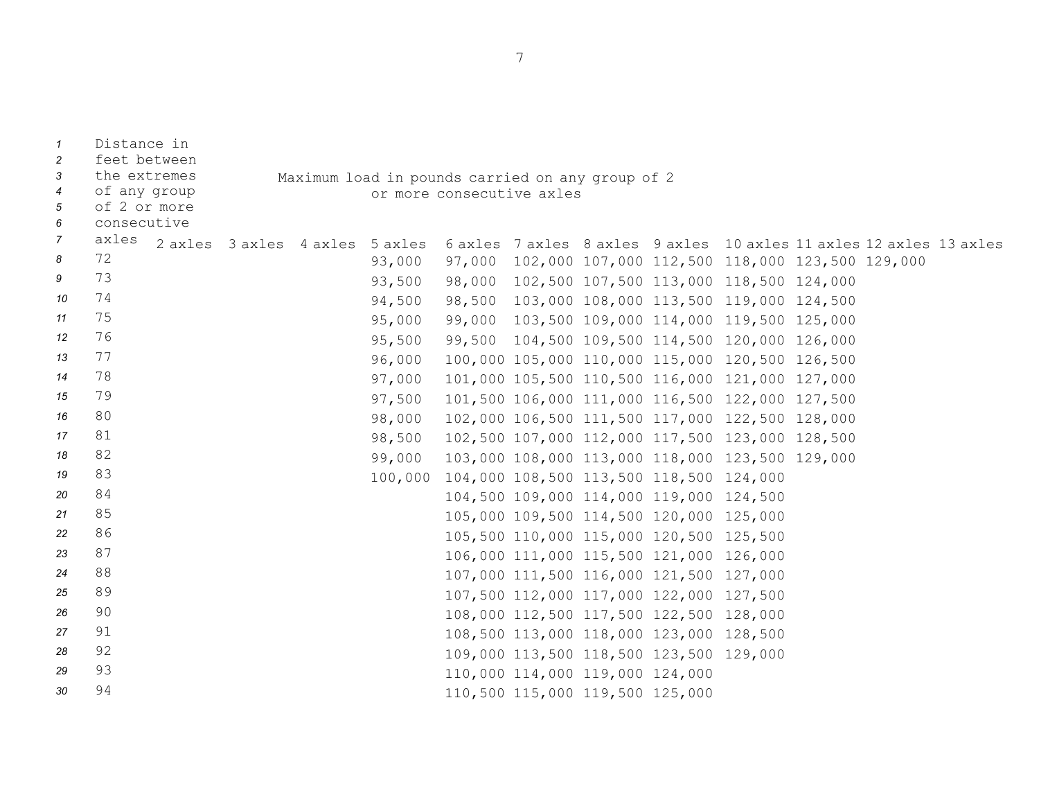| $\mathcal{I}$<br>2 | Distance in<br>feet between |                                 |  |                                                  |                                                 |                                 |  |                                         |                                                                     |  |  |
|--------------------|-----------------------------|---------------------------------|--|--------------------------------------------------|-------------------------------------------------|---------------------------------|--|-----------------------------------------|---------------------------------------------------------------------|--|--|
| 3                  | the extremes                |                                 |  | Maximum load in pounds carried on any group of 2 |                                                 |                                 |  |                                         |                                                                     |  |  |
| $\overline{4}$     | of any group                | or more consecutive axles       |  |                                                  |                                                 |                                 |  |                                         |                                                                     |  |  |
| 5                  | of 2 or more                |                                 |  |                                                  |                                                 |                                 |  |                                         |                                                                     |  |  |
| 6                  | consecutive                 |                                 |  |                                                  |                                                 |                                 |  |                                         |                                                                     |  |  |
| $\overline{7}$     | axles                       | 2 axles 3 axles 4 axles 5 axles |  |                                                  |                                                 |                                 |  |                                         | 6 axles 7 axles 8 axles 9 axles 10 axles 11 axles 12 axles 13 axles |  |  |
| 8                  | 72                          |                                 |  | 93,000                                           |                                                 |                                 |  |                                         | 97,000 102,000 107,000 112,500 118,000 123,500 129,000              |  |  |
| 9                  | 73                          |                                 |  | 93,500                                           |                                                 |                                 |  |                                         | 98,000 102,500 107,500 113,000 118,500 124,000                      |  |  |
| 10                 | 74                          |                                 |  | 94,500                                           |                                                 |                                 |  |                                         | 98,500 103,000 108,000 113,500 119,000 124,500                      |  |  |
| 11                 | 75                          |                                 |  | 95,000                                           | 99,000                                          |                                 |  |                                         | 103,500 109,000 114,000 119,500 125,000                             |  |  |
| 12                 | 76                          |                                 |  | 95,500                                           |                                                 |                                 |  |                                         | 99,500 104,500 109,500 114,500 120,000 126,000                      |  |  |
| 13                 | 77                          |                                 |  |                                                  |                                                 |                                 |  |                                         | 96,000 100,000 105,000 110,000 115,000 120,500 126,500              |  |  |
| 14                 | 78                          |                                 |  | 97,000                                           |                                                 |                                 |  |                                         | 101,000 105,500 110,500 116,000 121,000 127,000                     |  |  |
| 15                 | 79                          |                                 |  | 97,500                                           |                                                 |                                 |  |                                         | 101,500 106,000 111,000 116,500 122,000 127,500                     |  |  |
| 16                 | 80                          |                                 |  | 98,000                                           |                                                 |                                 |  |                                         | 102,000 106,500 111,500 117,000 122,500 128,000                     |  |  |
| 17                 | 81                          |                                 |  | 98,500                                           |                                                 |                                 |  |                                         | 102,500 107,000 112,000 117,500 123,000 128,500                     |  |  |
| 18                 | 82                          |                                 |  | 99,000                                           |                                                 |                                 |  |                                         | 103,000 108,000 113,000 118,000 123,500 129,000                     |  |  |
| 19                 | 83                          |                                 |  |                                                  | 100,000 104,000 108,500 113,500 118,500 124,000 |                                 |  |                                         |                                                                     |  |  |
| 20                 | 84                          |                                 |  |                                                  |                                                 |                                 |  | 104,500 109,000 114,000 119,000 124,500 |                                                                     |  |  |
| 21                 | 85                          |                                 |  |                                                  |                                                 |                                 |  | 105,000 109,500 114,500 120,000 125,000 |                                                                     |  |  |
| 22                 | 86                          |                                 |  |                                                  |                                                 |                                 |  | 105,500 110,000 115,000 120,500 125,500 |                                                                     |  |  |
| 23                 | 87                          |                                 |  |                                                  |                                                 |                                 |  | 106,000 111,000 115,500 121,000 126,000 |                                                                     |  |  |
| 24                 | 88                          |                                 |  |                                                  |                                                 |                                 |  | 107,000 111,500 116,000 121,500 127,000 |                                                                     |  |  |
| 25                 | 89                          |                                 |  |                                                  |                                                 |                                 |  | 107,500 112,000 117,000 122,000 127,500 |                                                                     |  |  |
| 26                 | 90                          |                                 |  |                                                  |                                                 |                                 |  | 108,000 112,500 117,500 122,500 128,000 |                                                                     |  |  |
| 27                 | 91                          |                                 |  |                                                  |                                                 |                                 |  | 108,500 113,000 118,000 123,000 128,500 |                                                                     |  |  |
| 28                 | 92                          |                                 |  |                                                  |                                                 |                                 |  | 109,000 113,500 118,500 123,500 129,000 |                                                                     |  |  |
| 29                 | 93                          |                                 |  |                                                  |                                                 | 110,000 114,000 119,000 124,000 |  |                                         |                                                                     |  |  |
| 30                 | 94                          |                                 |  |                                                  |                                                 | 110,500 115,000 119,500 125,000 |  |                                         |                                                                     |  |  |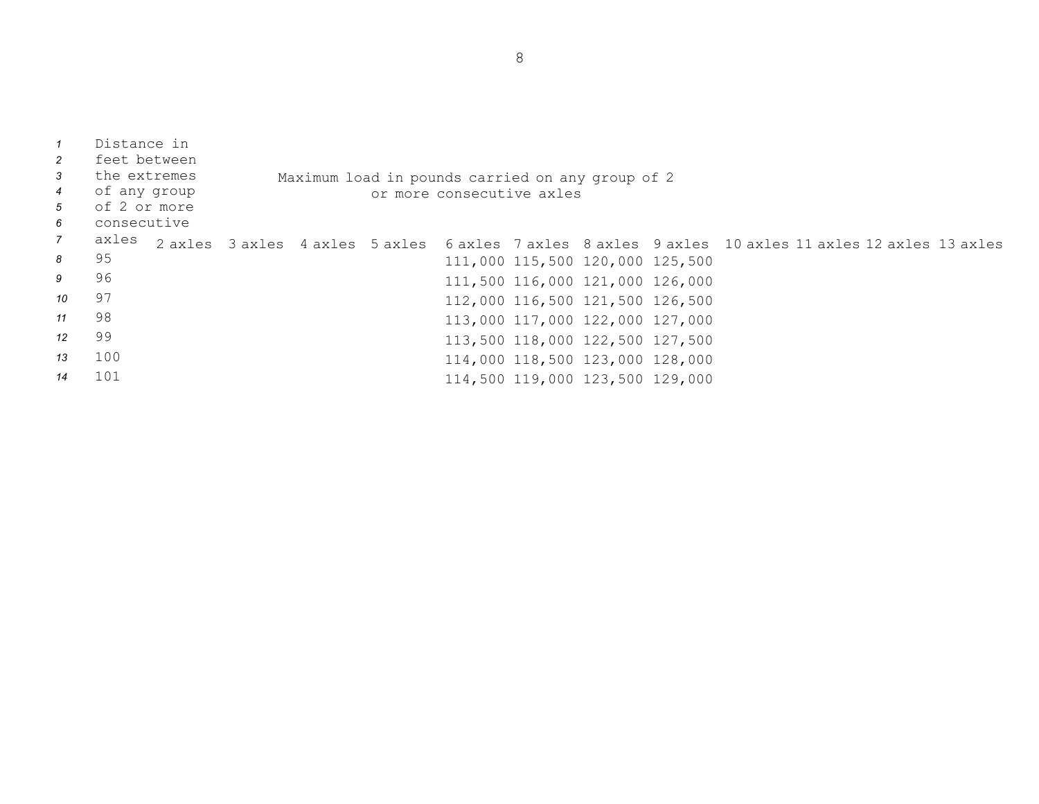| $\overline{1}$<br>2<br>$\mathbf{3}$<br>$\overline{4}$<br>$5\overline{)}$<br>6 | Distance in<br>feet between<br>the extremes<br>of any group<br>of 2 or more<br>consecutive |  |  | Maximum load in pounds carried on any group of 2<br>or more consecutive axles |                                 |  |                                                                                                     |  |
|-------------------------------------------------------------------------------|--------------------------------------------------------------------------------------------|--|--|-------------------------------------------------------------------------------|---------------------------------|--|-----------------------------------------------------------------------------------------------------|--|
| $7\overline{ }$                                                               | axles                                                                                      |  |  |                                                                               |                                 |  | 2 axles 3 axles 4 axles 5 axles 6 axles 7 axles 8 axles 9 axles 10 axles 11 axles 12 axles 13 axles |  |
| 8                                                                             | 95                                                                                         |  |  |                                                                               | 111,000 115,500 120,000 125,500 |  |                                                                                                     |  |
| 9                                                                             | 96                                                                                         |  |  |                                                                               | 111,500 116,000 121,000 126,000 |  |                                                                                                     |  |
| 10                                                                            | 97                                                                                         |  |  |                                                                               | 112,000 116,500 121,500 126,500 |  |                                                                                                     |  |
| 11                                                                            | 98                                                                                         |  |  |                                                                               | 113,000 117,000 122,000 127,000 |  |                                                                                                     |  |
| 12                                                                            | 99                                                                                         |  |  |                                                                               | 113,500 118,000 122,500 127,500 |  |                                                                                                     |  |
| 13                                                                            | 100                                                                                        |  |  |                                                                               | 114,000 118,500 123,000 128,000 |  |                                                                                                     |  |
| 14                                                                            | 101                                                                                        |  |  |                                                                               | 114,500 119,000 123,500 129,000 |  |                                                                                                     |  |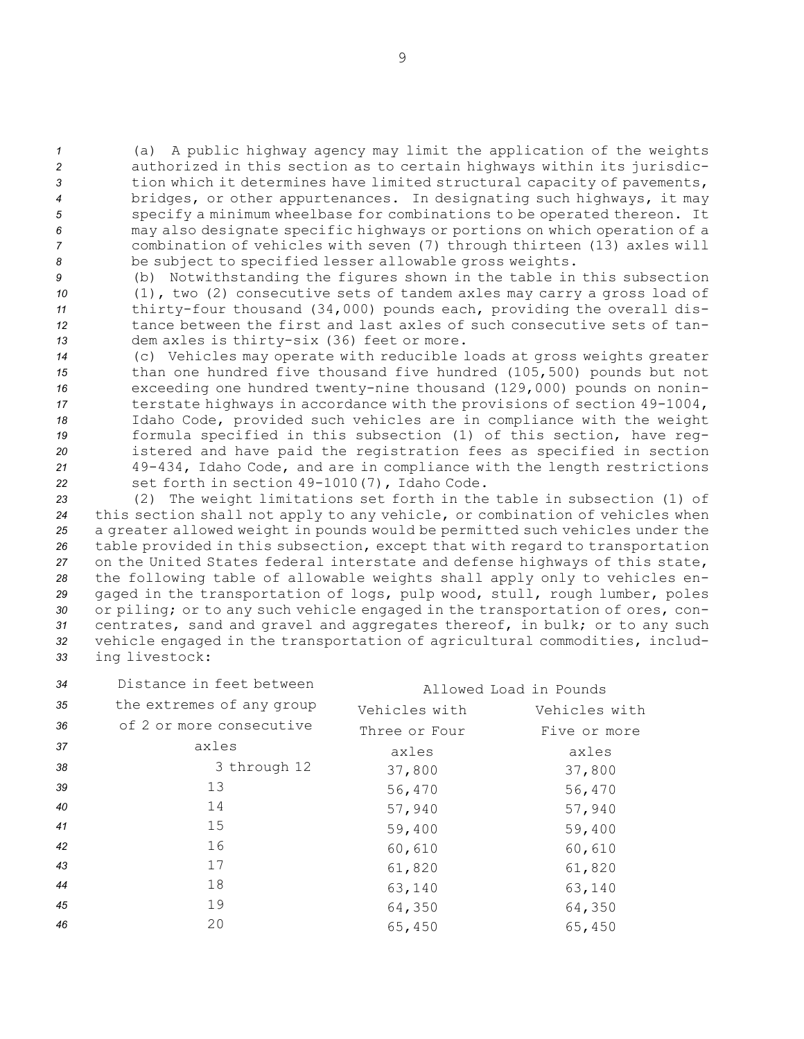(a) <sup>A</sup> public highway agency may limit the application of the weights authorized in this section as to certain highways within its jurisdic- tion which it determines have limited structural capacity of pavements, bridges, or other appurtenances. In designating such highways, it may specify <sup>a</sup> minimum wheelbase for combinations to be operated thereon. It may also designate specific highways or portions on which operation of <sup>a</sup> combination of vehicles with seven (7) through thirteen (13) axles will be subject to specified lesser allowable gross weights.

 (b) Notwithstanding the figures shown in the table in this subsection (1), two (2) consecutive sets of tandem axles may carry <sup>a</sup> gross load of thirty-four thousand (34,000) pounds each, providing the overall dis- tance between the first and last axles of such consecutive sets of tan-dem axles is thirty-six (36) feet or more.

 (c) Vehicles may operate with reducible loads at gross weights greater than one hundred five thousand five hundred (105,500) pounds but not exceeding one hundred twenty-nine thousand (129,000) pounds on nonin- terstate highways in accordance with the provisions of section 49-1004, Idaho Code, provided such vehicles are in compliance with the weight formula specified in this subsection (1) of this section, have reg- istered and have paid the registration fees as specified in section 49-434, Idaho Code, and are in compliance with the length restrictions set forth in section 49-1010(7), Idaho Code.

 (2) The weight limitations set forth in the table in subsection (1) of this section shall not apply to any vehicle, or combination of vehicles when <sup>a</sup> greater allowed weight in pounds would be permitted such vehicles under the table provided in this subsection, except that with regard to transportation on the United States federal interstate and defense highways of this state, the following table of allowable weights shall apply only to vehicles en- gaged in the transportation of logs, pulp wood, stull, rough lumber, poles or piling; or to any such vehicle engaged in the transportation of ores, con- centrates, sand and gravel and aggregates thereof, in bulk; or to any such vehicle engaged in the transportation of agricultural commodities, includ-ing livestock:

| 34 | Distance in feet between  | Allowed Load in Pounds |               |
|----|---------------------------|------------------------|---------------|
| 35 | the extremes of any group | Vehicles with          | Vehicles with |
| 36 | of 2 or more consecutive  | Three or Four          | Five or more  |
| 37 | axles                     | axles                  | axles         |
| 38 | 3 through 12              | 37,800                 | 37,800        |
| 39 | 13                        | 56,470                 | 56,470        |
| 40 | 14                        | 57,940                 | 57,940        |
| 41 | 15                        | 59,400                 | 59,400        |
| 42 | 16                        | 60,610                 | 60,610        |
| 43 | 17                        | 61,820                 | 61,820        |
| 44 | 18                        | 63,140                 | 63,140        |
| 45 | 19                        | 64,350                 | 64,350        |
| 46 | 20                        | 65,450                 | 65,450        |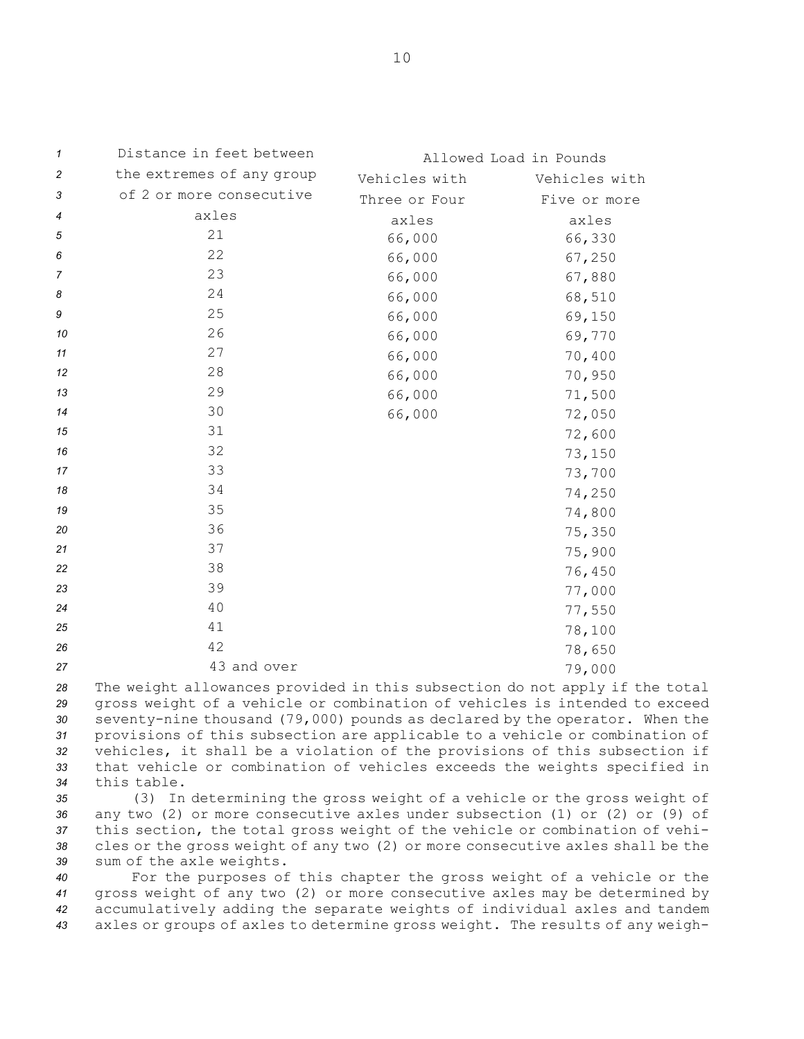| 1              | Distance in feet between  |               | Allowed Load in Pounds |
|----------------|---------------------------|---------------|------------------------|
| $\overline{c}$ | the extremes of any group | Vehicles with | Vehicles with          |
| 3              | of 2 or more consecutive  | Three or Four | Five or more           |
| 4              | axles                     | axles         | axles                  |
| 5              | 21                        | 66,000        | 66,330                 |
| 6              | 22                        | 66,000        | 67,250                 |
| $\overline{7}$ | 23                        | 66,000        | 67,880                 |
| 8              | 24                        | 66,000        | 68,510                 |
| 9              | 25                        | 66,000        | 69,150                 |
| 10             | 26                        | 66,000        | 69,770                 |
| 11             | 27                        | 66,000        | 70,400                 |
| 12             | 28                        | 66,000        | 70,950                 |
| 13             | 29                        | 66,000        | 71,500                 |
| 14             | 30                        | 66,000        | 72,050                 |
| 15             | 31                        |               | 72,600                 |
| 16             | 32                        |               | 73,150                 |
| 17             | 33                        |               | 73,700                 |
| 18             | 34                        |               | 74,250                 |
| 19             | 35                        |               | 74,800                 |
| 20             | 36                        |               | 75,350                 |
| 21             | 37                        |               | 75,900                 |
| 22             | 38                        |               | 76,450                 |
| 23             | 39                        |               | 77,000                 |
| 24             | 40                        |               | 77,550                 |
| 25             | $4\,1$                    |               | 78,100                 |
| 26             | 42                        |               | 78,650                 |
| 27             | 43 and over               |               | 79,000                 |

 The weight allowances provided in this subsection do not apply if the total gross weight of <sup>a</sup> vehicle or combination of vehicles is intended to exceed seventy-nine thousand (79,000) pounds as declared by the operator. When the provisions of this subsection are applicable to <sup>a</sup> vehicle or combination of vehicles, it shall be <sup>a</sup> violation of the provisions of this subsection if that vehicle or combination of vehicles exceeds the weights specified in this table.

 (3) In determining the gross weight of <sup>a</sup> vehicle or the gross weight of any two (2) or more consecutive axles under subsection (1) or (2) or (9) of this section, the total gross weight of the vehicle or combination of vehi- cles or the gross weight of any two (2) or more consecutive axles shall be the sum of the axle weights.

 For the purposes of this chapter the gross weight of <sup>a</sup> vehicle or the gross weight of any two (2) or more consecutive axles may be determined by accumulatively adding the separate weights of individual axles and tandem axles or groups of axles to determine gross weight. The results of any weigh-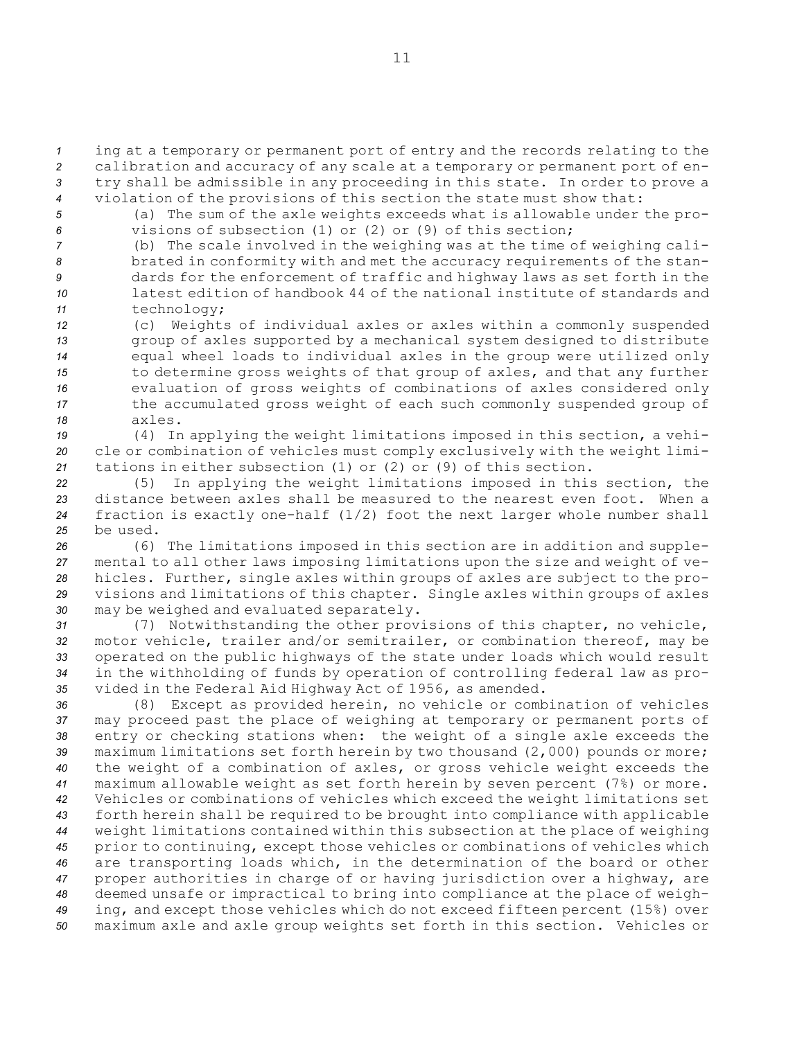*<sup>1</sup>* ing at <sup>a</sup> temporary or permanent port of entry and the records relating to the *<sup>2</sup>* calibration and accuracy of any scale at <sup>a</sup> temporary or permanent port of en-*<sup>3</sup>* try shall be admissible in any proceeding in this state. In order to prove <sup>a</sup>

*<sup>4</sup>* violation of the provisions of this section the state must show that:

*<sup>5</sup>* (a) The sum of the axle weights exceeds what is allowable under the pro-*6* visions of subsection (1) or (2) or (9) of this section;

 (b) The scale involved in the weighing was at the time of weighing cali- brated in conformity with and met the accuracy requirements of the stan- dards for the enforcement of traffic and highway laws as set forth in the latest edition of handbook 44 of the national institute of standards and technology;

 (c) Weights of individual axles or axles within <sup>a</sup> commonly suspended group of axles supported by <sup>a</sup> mechanical system designed to distribute equal wheel loads to individual axles in the group were utilized only to determine gross weights of that group of axles, and that any further evaluation of gross weights of combinations of axles considered only the accumulated gross weight of each such commonly suspended group of *18* axles.

*<sup>19</sup>* (4) In applying the weight limitations imposed in this section, <sup>a</sup> vehi-*<sup>20</sup>* cle or combination of vehicles must comply exclusively with the weight limi-*<sup>21</sup>* tations in either subsection (1) or (2) or (9) of this section.

 (5) In applying the weight limitations imposed in this section, the distance between axles shall be measured to the nearest even foot. When <sup>a</sup> fraction is exactly one-half (1/2) foot the next larger whole number shall *25* be used.

 (6) The limitations imposed in this section are in addition and supple- mental to all other laws imposing limitations upon the size and weight of ve- hicles. Further, single axles within groups of axles are subject to the pro- visions and limitations of this chapter. Single axles within groups of axles may be weighed and evaluated separately.

 (7) Notwithstanding the other provisions of this chapter, no vehicle, motor vehicle, trailer and/or semitrailer, or combination thereof, may be operated on the public highways of the state under loads which would result in the withholding of funds by operation of controlling federal law as pro-vided in the Federal Aid Highway Act of 1956, as amended.

 (8) Except as provided herein, no vehicle or combination of vehicles may proceed past the place of weighing at temporary or permanent ports of entry or checking stations when: the weight of <sup>a</sup> single axle exceeds the maximum limitations set forth herein by two thousand (2,000) pounds or more; the weight of <sup>a</sup> combination of axles, or gross vehicle weight exceeds the maximum allowable weight as set forth herein by seven percent (7%) or more. Vehicles or combinations of vehicles which exceed the weight limitations set forth herein shall be required to be brought into compliance with applicable weight limitations contained within this subsection at the place of weighing prior to continuing, except those vehicles or combinations of vehicles which are transporting loads which, in the determination of the board or other proper authorities in charge of or having jurisdiction over <sup>a</sup> highway, are deemed unsafe or impractical to bring into compliance at the place of weigh- ing, and except those vehicles which do not exceed fifteen percent (15%) over maximum axle and axle group weights set forth in this section. Vehicles or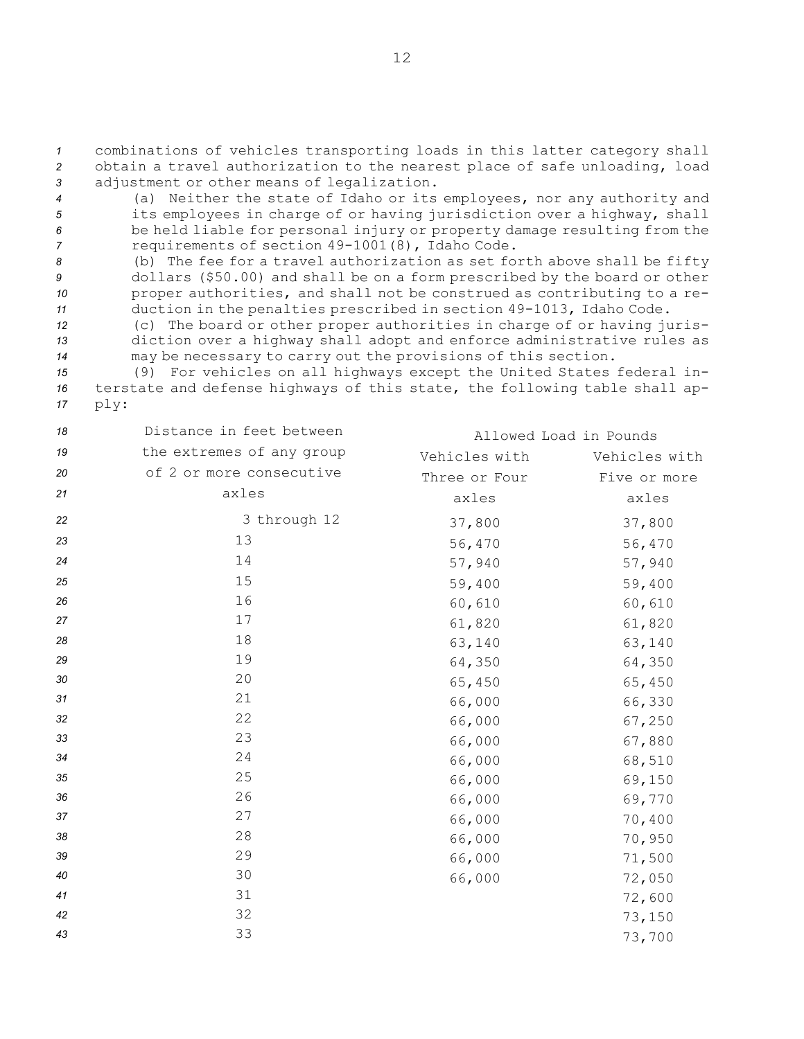*<sup>1</sup>* combinations of vehicles transporting loads in this latter category shall *<sup>2</sup>* obtain <sup>a</sup> travel authorization to the nearest place of safe unloading, load *<sup>3</sup>* adjustment or other means of legalization.

- *<sup>4</sup>* (a) Neither the state of Idaho or its employees, nor any authority and *<sup>5</sup>* its employees in charge of or having jurisdiction over <sup>a</sup> highway, shall *<sup>6</sup>* be held liable for personal injury or property damage resulting from the *<sup>7</sup>* requirements of section 49-1001(8), Idaho Code.
- *<sup>8</sup>* (b) The fee for <sup>a</sup> travel authorization as set forth above shall be fifty *<sup>9</sup>* dollars (\$50.00) and shall be on <sup>a</sup> form prescribed by the board or other *<sup>10</sup>* proper authorities, and shall not be construed as contributing to <sup>a</sup> re-*<sup>11</sup>* duction in the penalties prescribed in section 49-1013, Idaho Code.
- *<sup>12</sup>* (c) The board or other proper authorities in charge of or having juris-*<sup>13</sup>* diction over <sup>a</sup> highway shall adopt and enforce administrative rules as *<sup>14</sup>* may be necessary to carry out the provisions of this section.
- *<sup>15</sup>* (9) For vehicles on all highways except the United States federal in-*<sup>16</sup>* terstate and defense highways of this state, the following table shall ap-*<sup>17</sup>* ply:

| 18 | Distance in feet between  |               | Allowed Load in Pounds |
|----|---------------------------|---------------|------------------------|
| 19 | the extremes of any group | Vehicles with | Vehicles with          |
| 20 | of 2 or more consecutive  | Three or Four | Five or more           |
| 21 | axles                     | axles         | axles                  |
| 22 | 3 through 12              | 37,800        | 37,800                 |
| 23 | 13                        | 56,470        | 56,470                 |
| 24 | 14                        | 57,940        | 57,940                 |
| 25 | 15                        | 59,400        | 59,400                 |
| 26 | 16                        | 60,610        | 60,610                 |
| 27 | 17                        | 61,820        | 61,820                 |
| 28 | 18                        | 63,140        | 63,140                 |
| 29 | 19                        | 64,350        | 64,350                 |
| 30 | 20                        | 65,450        | 65,450                 |
| 31 | 21                        | 66,000        | 66,330                 |
| 32 | 22                        | 66,000        | 67,250                 |
| 33 | 23                        | 66,000        | 67,880                 |
| 34 | 24                        | 66,000        | 68,510                 |
| 35 | 25                        | 66,000        | 69,150                 |
| 36 | 26                        | 66,000        | 69,770                 |
| 37 | 27                        | 66,000        | 70,400                 |
| 38 | 28                        | 66,000        | 70,950                 |
| 39 | 29                        | 66,000        | 71,500                 |
| 40 | 30                        | 66,000        | 72,050                 |
| 41 | 31                        |               | 72,600                 |
| 42 | 32                        |               | 73,150                 |
| 43 | 33                        |               | 73,700                 |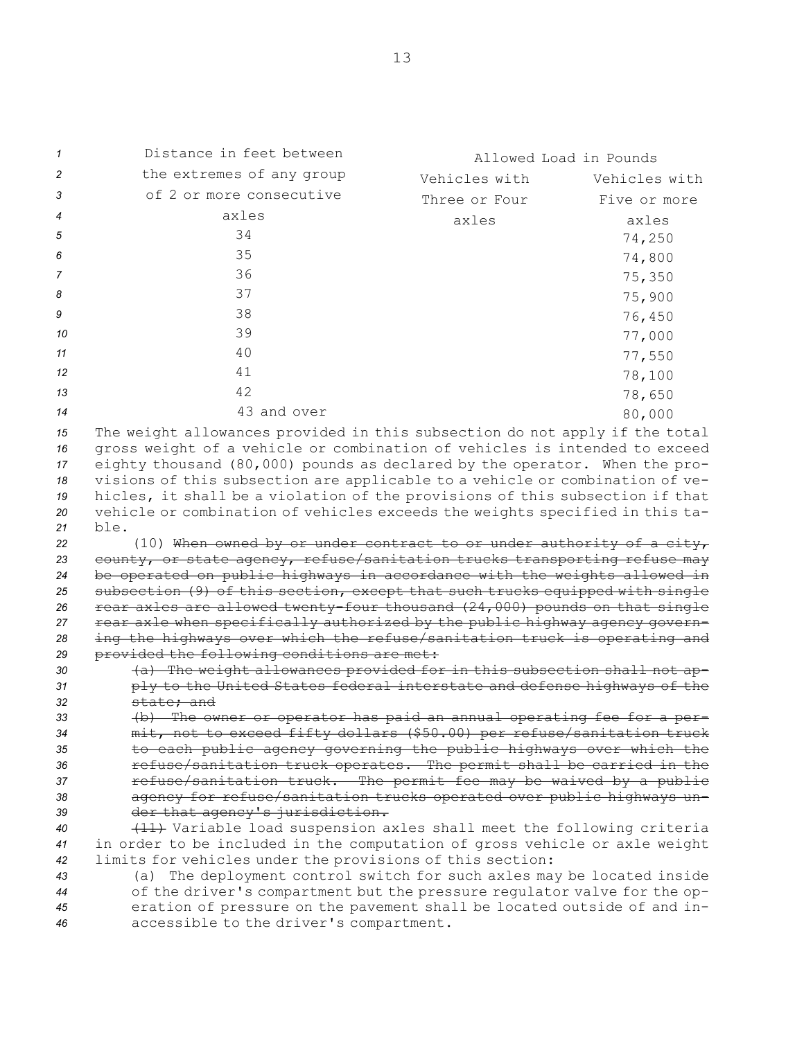| $\mathcal I$   | Distance in feet between                                                                                                                                                                                                                | Allowed Load in Pounds |               |
|----------------|-----------------------------------------------------------------------------------------------------------------------------------------------------------------------------------------------------------------------------------------|------------------------|---------------|
| 2              | the extremes of any group                                                                                                                                                                                                               | Vehicles with          | Vehicles with |
| 3              | of 2 or more consecutive                                                                                                                                                                                                                | Three or Four          | Five or more  |
| 4              | axles                                                                                                                                                                                                                                   | axles                  | axles         |
| 5              | 34                                                                                                                                                                                                                                      |                        | 74,250        |
| 6              | 35                                                                                                                                                                                                                                      |                        | 74,800        |
| 7              | 36                                                                                                                                                                                                                                      |                        | 75,350        |
| 8              | 37                                                                                                                                                                                                                                      |                        | 75,900        |
| 9              | 38                                                                                                                                                                                                                                      |                        | 76,450        |
| 10             | 39                                                                                                                                                                                                                                      |                        | 77,000        |
| 11             | 40                                                                                                                                                                                                                                      |                        |               |
| 12             | 41                                                                                                                                                                                                                                      |                        | 77,550        |
|                | 42                                                                                                                                                                                                                                      |                        | 78,100        |
| 13             |                                                                                                                                                                                                                                         |                        | 78,650        |
| 14             | 43 and over                                                                                                                                                                                                                             |                        | 80,000        |
| 15<br>16<br>17 | The weight allowances provided in this subsection do not apply if the total<br>gross weight of a vehicle or combination of vehicles is intended to exceed<br>eighty thousand (80,000) pounds as declared by the operator. When the pro- |                        |               |
| 18             | visions of this subsection are applicable to a vehicle or combination of ve-                                                                                                                                                            |                        |               |
| 19             | hicles, it shall be a violation of the provisions of this subsection if that                                                                                                                                                            |                        |               |
| 20             | vehicle or combination of vehicles exceeds the weights specified in this ta-                                                                                                                                                            |                        |               |
| 21<br>22       | ble.<br>(10) When owned by or under contract to or under authority of a city,                                                                                                                                                           |                        |               |
| 23             | county, or state agency, refuse/sanitation trucks transporting refuse may                                                                                                                                                               |                        |               |
| 24             | be operated on public highways in accordance with the weights allowed in                                                                                                                                                                |                        |               |
| 25             | subsection (9) of this section, except that such trucks equipped with single                                                                                                                                                            |                        |               |
| 26             | rear axles are allowed twenty-four thousand (24,000) pounds on that single                                                                                                                                                              |                        |               |
| 27             | rear axle when specifically authorized by the public highway agency govern-                                                                                                                                                             |                        |               |
| 28<br>29       | ing the highways over which the refuse/sanitation truck is operating and<br>provided the following conditions are met:                                                                                                                  |                        |               |
| 30             | (a) The weight allowances provided for in this subsection shall not ap-                                                                                                                                                                 |                        |               |
| 31             | ply to the United States federal interstate and defense highways of the                                                                                                                                                                 |                        |               |
| 32             | state; and                                                                                                                                                                                                                              |                        |               |
| 33             | (b) The owner or operator has paid an annual operating fee for a per-                                                                                                                                                                   |                        |               |
| 34             | mit, not to exceed fifty dollars (\$50.00) per refuse/sanitation truck                                                                                                                                                                  |                        |               |
| 35             | to each public agency governing the public highways over which the                                                                                                                                                                      |                        |               |
| 36<br>37       | refuse/sanitation truck operates. The permit shall be carried in the<br>refuse/sanitation truck. The permit fee may be waived by a public                                                                                               |                        |               |
| 38             | agency for refuse/sanitation trucks operated over public highways un-                                                                                                                                                                   |                        |               |
| 39             | der that agency's jurisdiction.                                                                                                                                                                                                         |                        |               |
| 40             | (11) Variable load suspension axles shall meet the following criteria                                                                                                                                                                   |                        |               |
| 41             | in order to be included in the computation of gross vehicle or axle weight                                                                                                                                                              |                        |               |
| 42             | limits for vehicles under the provisions of this section:                                                                                                                                                                               |                        |               |
| 43             | (a) The deployment control switch for such axles may be located inside                                                                                                                                                                  |                        |               |
| 44             | of the driver's compartment but the pressure regulator valve for the op-                                                                                                                                                                |                        |               |
| 45<br>46       | eration of pressure on the pavement shall be located outside of and in-<br>accessible to the driver's compartment.                                                                                                                      |                        |               |
|                |                                                                                                                                                                                                                                         |                        |               |